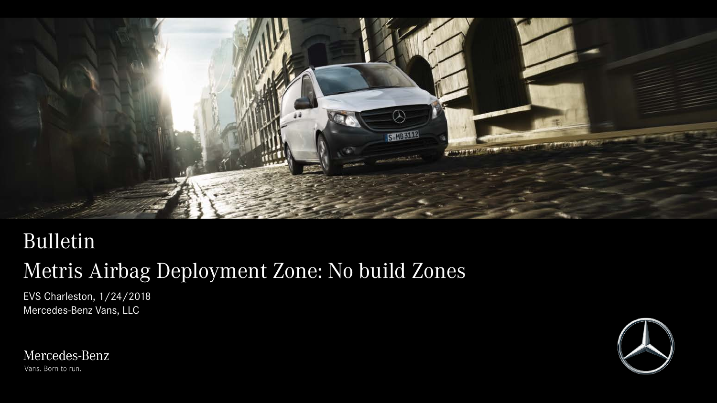

### Bulletin

# Metris Airbag Deployment Zone: No build Zones

EVS Charleston, 1/24/2018 Mercedes-Benz Vans, LLC



Mercedes-Benz Vans. Born to run.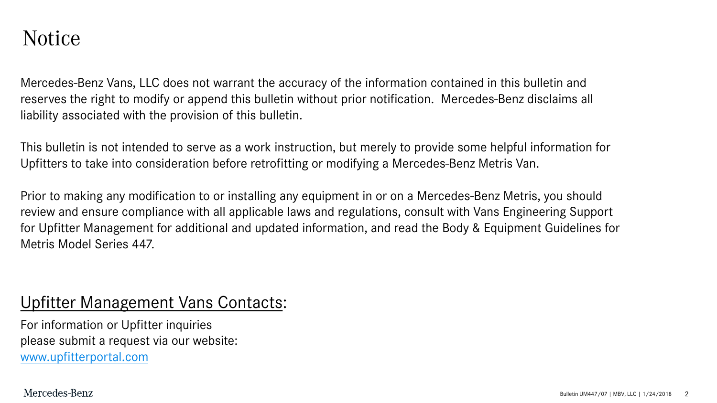### Notice

Mercedes-Benz Vans, LLC does not warrant the accuracy of the information contained in this bulletin and reserves the right to modify or append this bulletin without prior notification. Mercedes-Benz disclaims all liability associated with the provision of this bulletin.

This bulletin is not intended to serve as a work instruction, but merely to provide some helpful information for Upfitters to take into consideration before retrofitting or modifying a Mercedes-Benz Metris Van.

Prior to making any modification to or installing any equipment in or on a Mercedes-Benz Metris, you should review and ensure compliance with all applicable laws and regulations, consult with Vans Engineering Support for Upfitter Management for additional and updated information, and read the Body & Equipment Guidelines for Metris Model Series 447.

### Upfitter Management Vans Contacts:

For information or Upfitter inquiries please submit a request via our website: [www.upfitterportal.com](http://www.upfitterportalcom/)

Mercedes-Benz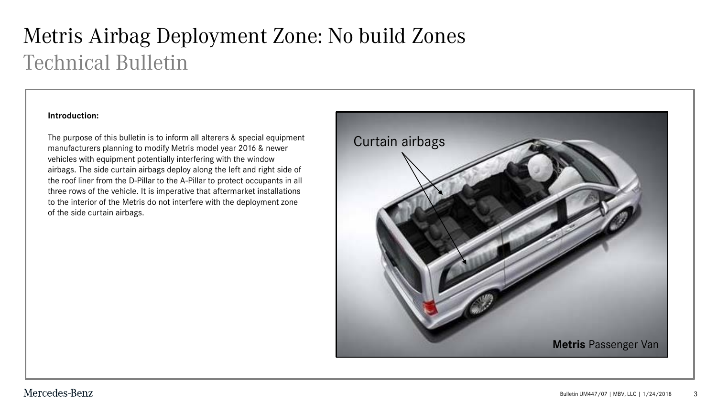# Metris Airbag Deployment Zone: No build Zones Technical Bulletin

#### **Introduction:**

The purpose of this bulletin is to inform all alterers & special equipment manufacturers planning to modify Metris model year 2016 & newer vehicles with equipment potentially interfering with the window airbags. The side curtain airbags deploy along the left and right side of the roof liner from the D-Pillar to the A-Pillar to protect occupants in all three rows of the vehicle. It is imperative that aftermarket installations to the interior of the Metris do not interfere with the deployment zone of the side curtain airbags.

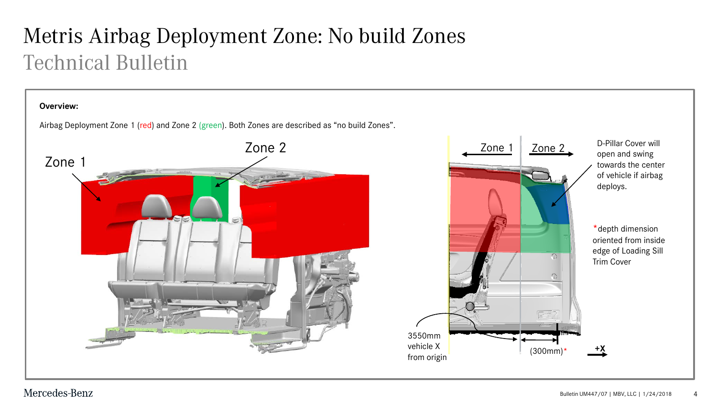# Metris Airbag Deployment Zone: No build Zones Technical Bulletin

#### **Overview:**

Airbag Deployment Zone 1 (red) and Zone 2 (green). Both Zones are described as "no build Zones".